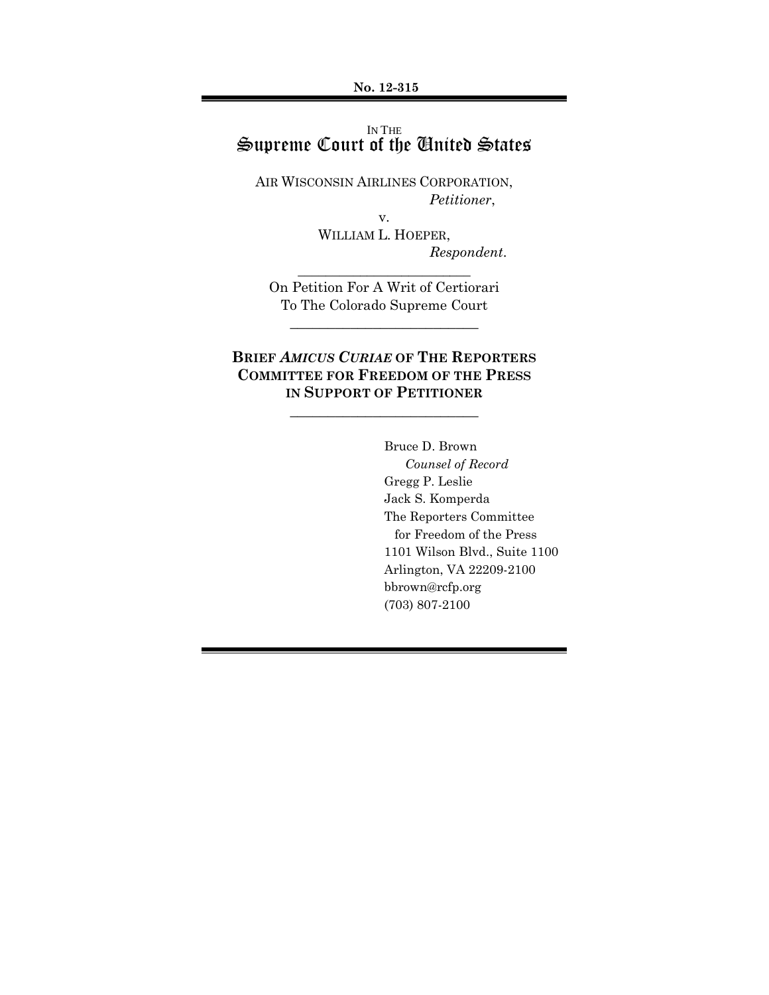**No. 12-315**

## IN THE Supreme Court of the United States

AIR WISCONSIN AIRLINES CORPORATION, *Petitioner*,

v.

WILLIAM L. HOEPER, *Respondent*.

On Petition For A Writ of Certiorari To The Colorado Supreme Court

\_\_\_\_\_\_\_\_\_\_\_\_\_\_\_\_\_\_\_\_\_\_\_\_\_

\_\_\_\_\_\_\_\_\_\_\_\_\_\_\_\_\_\_\_\_\_\_\_\_\_

# **BRIEF** *AMICUS CURIAE* **OF THE REPORTERS COMMITTEE FOR FREEDOM OF THE PRESS IN SUPPORT OF PETITIONER**

**\_\_\_\_\_\_\_\_\_\_\_\_\_\_\_\_\_\_\_\_\_\_\_\_\_**

Bruce D. Brown *Counsel of Record* Gregg P. Leslie Jack S. Komperda The Reporters Committee for Freedom of the Press 1101 Wilson Blvd., Suite 1100 Arlington, VA 22209-2100 bbrown@rcfp.org (703) 807-2100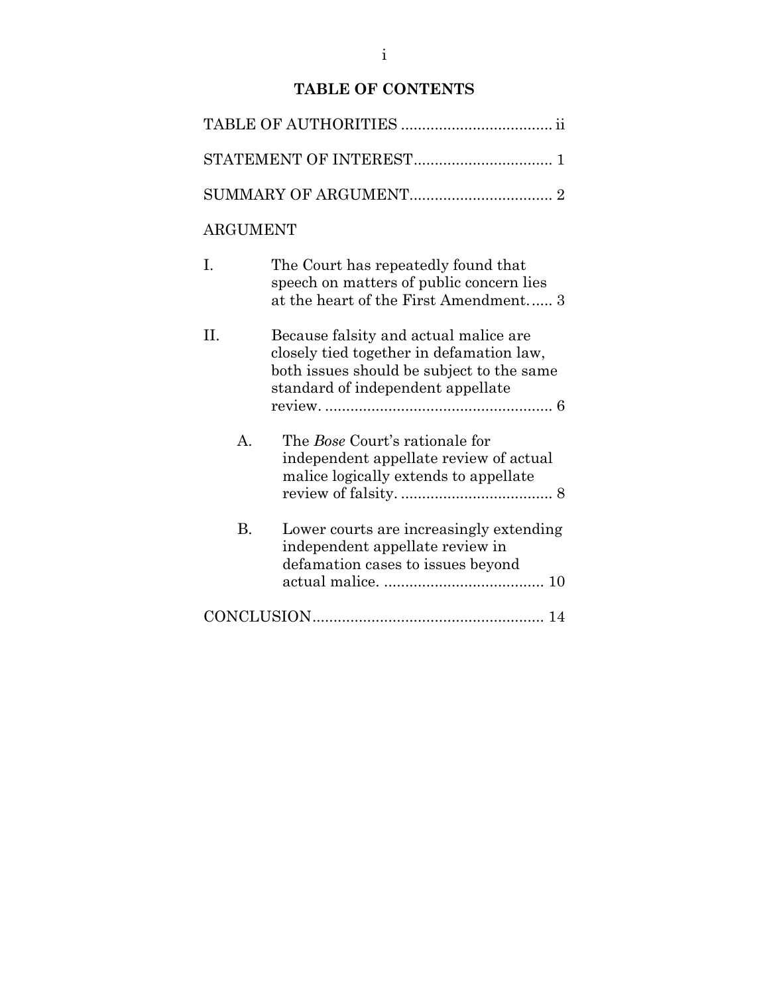# **TABLE OF CONTENTS**

| <b>ARGUMENT</b> |                                                                                                                                                                     |
|-----------------|---------------------------------------------------------------------------------------------------------------------------------------------------------------------|
| I.              | The Court has repeatedly found that<br>speech on matters of public concern lies<br>at the heart of the First Amendment 3                                            |
| II.             | Because falsity and actual malice are<br>closely tied together in defamation law,<br>both issues should be subject to the same<br>standard of independent appellate |
| $\mathsf{A}$ .  | The <i>Bose</i> Court's rationale for<br>independent appellate review of actual<br>malice logically extends to appellate                                            |
| <b>B.</b>       | Lower courts are increasingly extending<br>independent appellate review in<br>defamation cases to issues beyond                                                     |
|                 |                                                                                                                                                                     |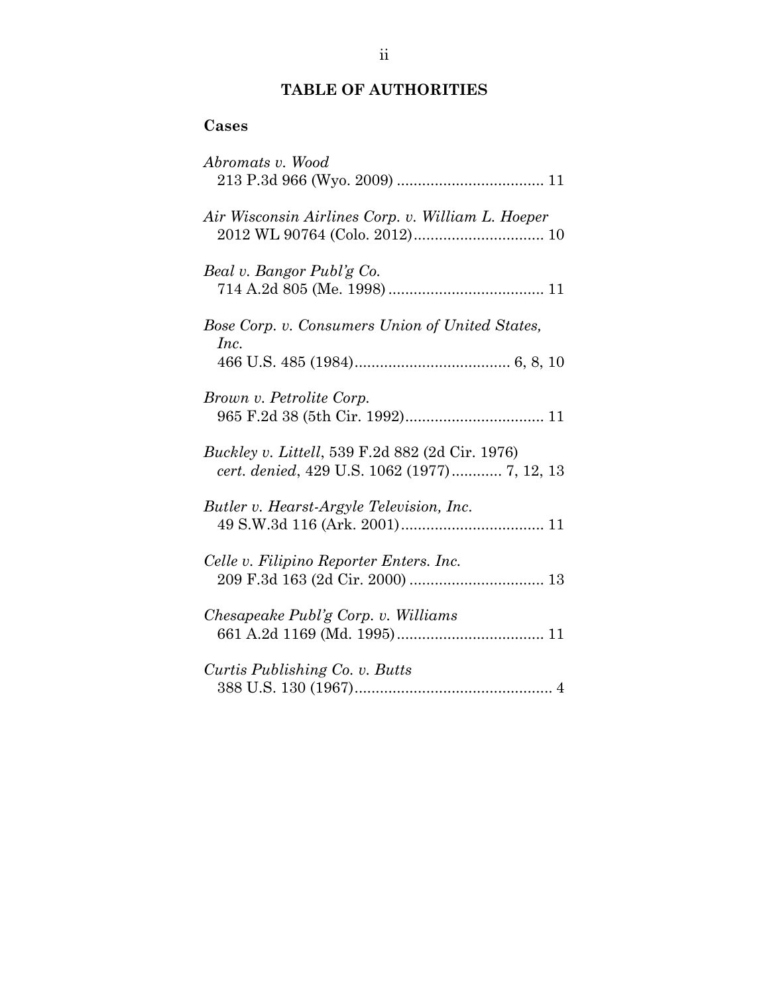# **TABLE OF AUTHORITIES**

# <span id="page-2-0"></span>**Cases**

| Abromats v. Wood                                                                                |
|-------------------------------------------------------------------------------------------------|
| Air Wisconsin Airlines Corp. v. William L. Hoeper                                               |
| Beal v. Bangor Publ'g Co.                                                                       |
| Bose Corp. v. Consumers Union of United States,<br>Inc.                                         |
| Brown v. Petrolite Corp.                                                                        |
| Buckley v. Littell, 539 F.2d 882 (2d Cir. 1976)<br>cert. denied, 429 U.S. 1062 (1977) 7, 12, 13 |
| Butler v. Hearst-Argyle Television, Inc.                                                        |
| Celle v. Filipino Reporter Enters. Inc.                                                         |
| Chesapeake Publ'g Corp. v. Williams                                                             |
| Curtis Publishing Co. v. Butts                                                                  |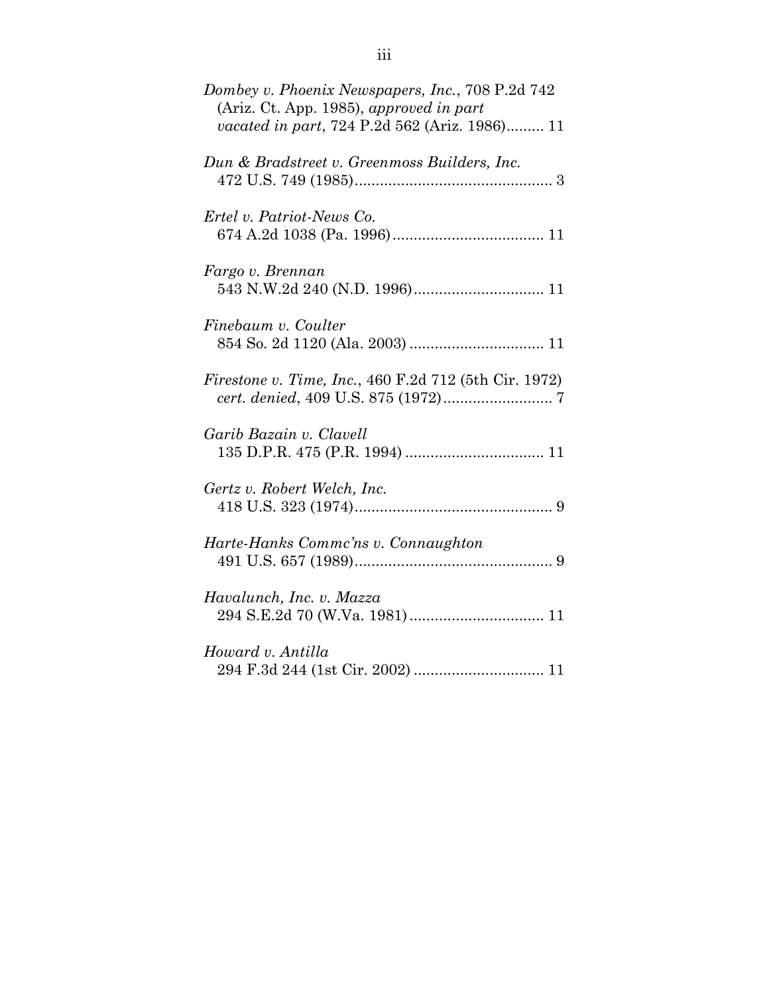| Dombey v. Phoenix Newspapers, Inc., 708 P.2d 742<br>(Ariz. Ct. App. 1985), approved in part<br>vacated in part, 724 P.2d 562 (Ariz. 1986) 11 |
|----------------------------------------------------------------------------------------------------------------------------------------------|
| Dun & Bradstreet v. Greenmoss Builders, Inc.                                                                                                 |
| Ertel v. Patriot-News Co.                                                                                                                    |
| Fargo v. Brennan                                                                                                                             |
| Finebaum v. Coulter                                                                                                                          |
| <i>Firestone v. Time, Inc., 460 F.2d 712 (5th Cir. 1972)</i>                                                                                 |
| Garib Bazain v. Clavell                                                                                                                      |
| Gertz v. Robert Welch, Inc.                                                                                                                  |
| Harte-Hanks Commc'ns v. Connaughton                                                                                                          |
| Havalunch, Inc. v. Mazza                                                                                                                     |
| Howard v. Antilla                                                                                                                            |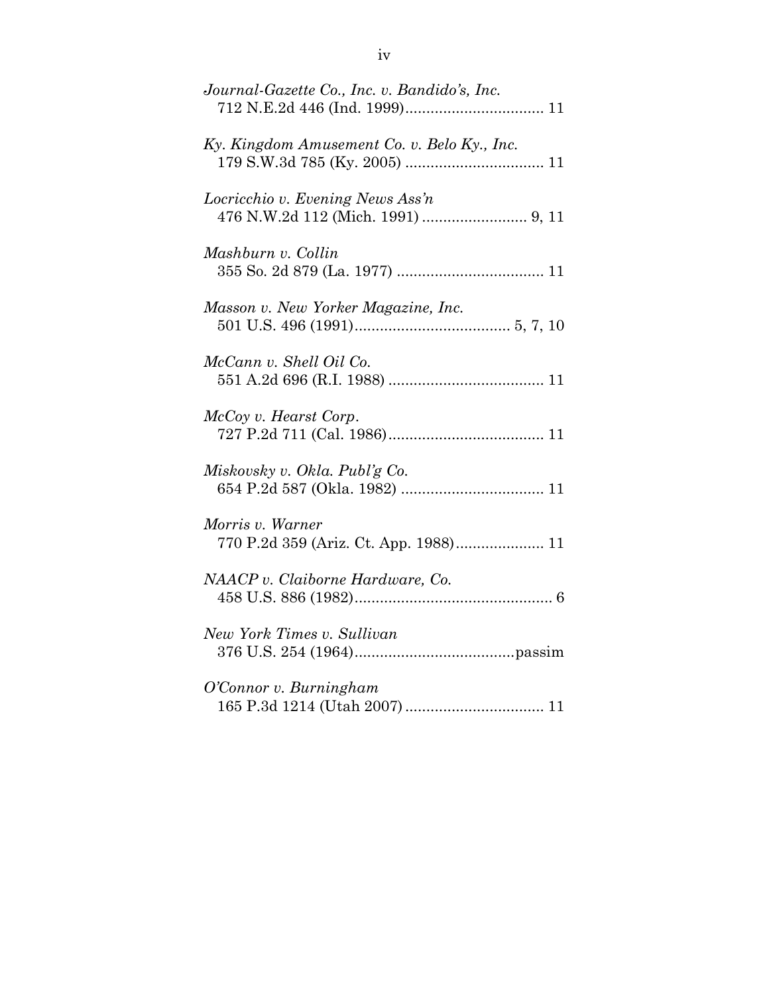| Journal-Gazette Co., Inc. v. Bandido's, Inc.              |
|-----------------------------------------------------------|
| Ky. Kingdom Amusement Co. v. Belo Ky., Inc.               |
| Locricchio v. Evening News Ass'n                          |
| Mashburn v. Collin                                        |
| Masson v. New Yorker Magazine, Inc.                       |
| McCann v. Shell Oil Co.                                   |
| McCoy v. Hearst Corp.                                     |
| Miskovsky v. Okla. Publ'g Co.                             |
| Morris v. Warner<br>770 P.2d 359 (Ariz. Ct. App. 1988) 11 |
| NAACP v. Claiborne Hardware, Co.                          |
| New York Times v. Sullivan                                |
| O'Connor v. Burningham                                    |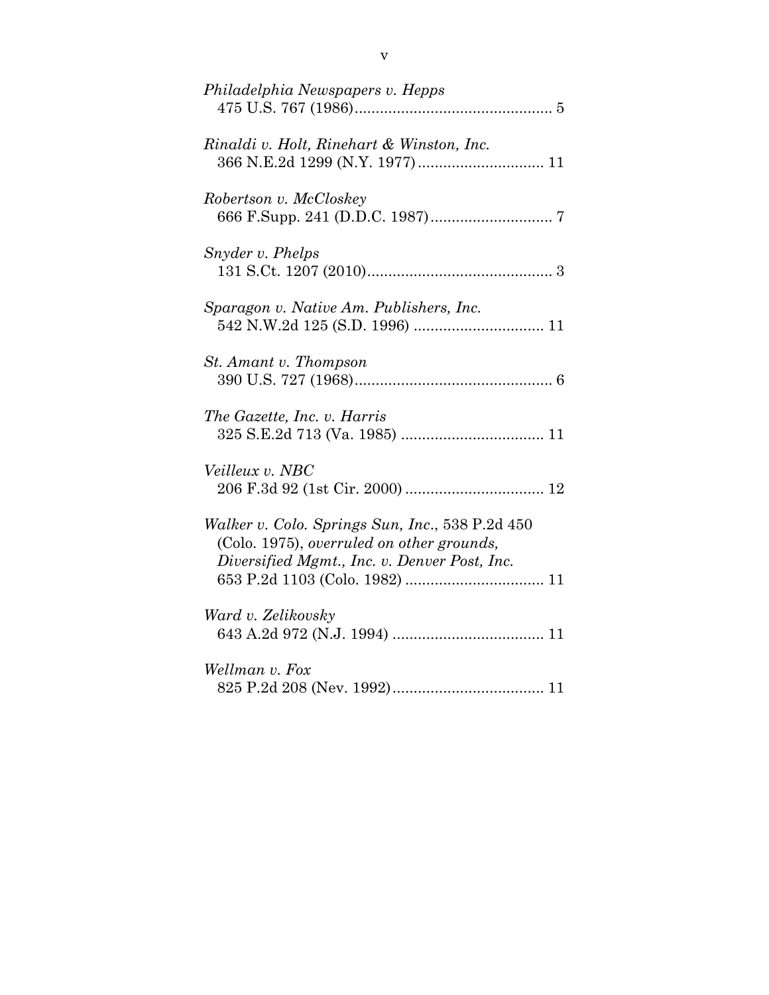| Philadelphia Newspapers v. Hepps                                                             |
|----------------------------------------------------------------------------------------------|
| Rinaldi v. Holt, Rinehart & Winston, Inc.<br>366 N.E.2d 1299 (N.Y. 1977) 11                  |
| Robertson v. McCloskey                                                                       |
| Snyder v. Phelps                                                                             |
| Sparagon v. Native Am. Publishers, Inc.                                                      |
| St. Amant v. Thompson                                                                        |
| The Gazette, Inc. v. Harris                                                                  |
| Veilleux v. NBC                                                                              |
| Walker v. Colo. Springs Sun, Inc., 538 P.2d 450<br>(Colo. 1975), overruled on other grounds, |
| Diversified Mgmt., Inc. v. Denver Post, Inc.                                                 |
| Ward v. Zelikovsky                                                                           |
| Wellman v. Fox                                                                               |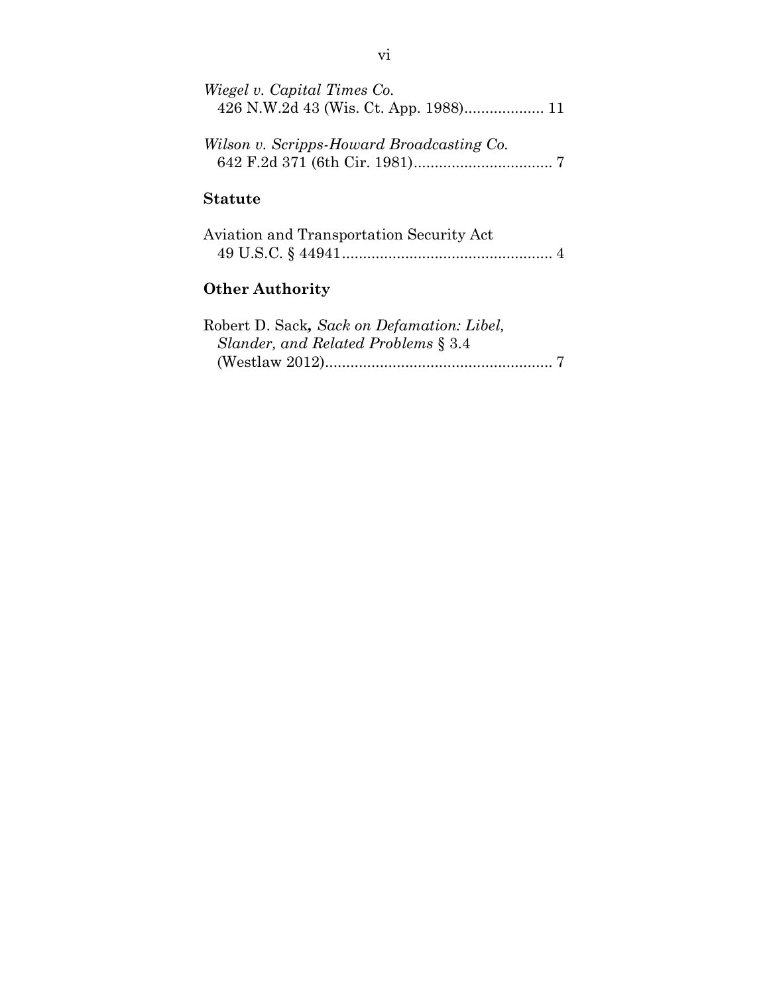| Wiegel v. Capital Times Co.               |
|-------------------------------------------|
| Wilson v. Scripps-Howard Broadcasting Co. |
| <b>Statute</b>                            |
| Aviation and Transportation Security Act  |

| Aviation and Transportation Security Act |  |
|------------------------------------------|--|
|                                          |  |

# **Other Authority**

| Robert D. Sack, Sack on Defamation: Libel, |  |
|--------------------------------------------|--|
| Slander, and Related Problems § 3.4        |  |
|                                            |  |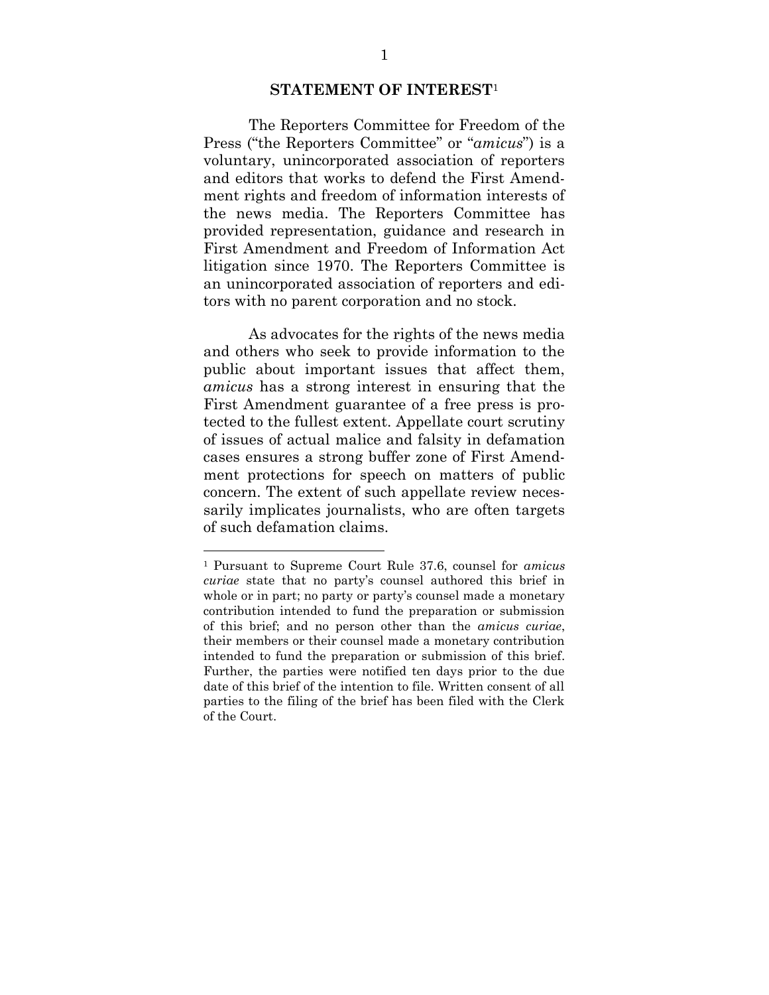#### **STATEMENT OF INTEREST**<sup>1</sup>

<span id="page-7-0"></span>The Reporters Committee for Freedom of the Press ("the Reporters Committee" or "*amicus*") is a voluntary, unincorporated association of reporters and editors that works to defend the First Amendment rights and freedom of information interests of the news media. The Reporters Committee has provided representation, guidance and research in First Amendment and Freedom of Information Act litigation since 1970. The Reporters Committee is an unincorporated association of reporters and editors with no parent corporation and no stock.

As advocates for the rights of the news media and others who seek to provide information to the public about important issues that affect them, *amicus* has a strong interest in ensuring that the First Amendment guarantee of a free press is protected to the fullest extent. Appellate court scrutiny of issues of actual malice and falsity in defamation cases ensures a strong buffer zone of First Amendment protections for speech on matters of public concern. The extent of such appellate review necessarily implicates journalists, who are often targets of such defamation claims.

 $\overline{a}$ 

<sup>1</sup> Pursuant to Supreme Court Rule 37.6, counsel for *amicus curiae* state that no party's counsel authored this brief in whole or in part; no party or party's counsel made a monetary contribution intended to fund the preparation or submission of this brief; and no person other than the *amicus curiae*, their members or their counsel made a monetary contribution intended to fund the preparation or submission of this brief. Further, the parties were notified ten days prior to the due date of this brief of the intention to file. Written consent of all parties to the filing of the brief has been filed with the Clerk of the Court.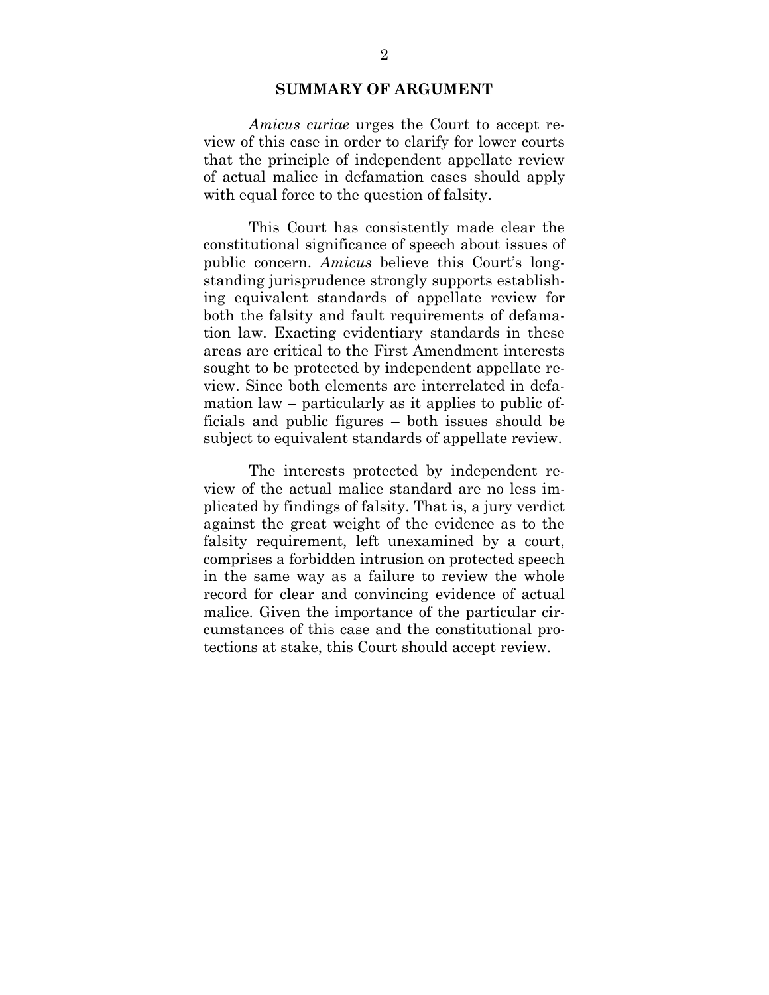#### **SUMMARY OF ARGUMENT**

<span id="page-8-0"></span>*Amicus curiae* urges the Court to accept review of this case in order to clarify for lower courts that the principle of independent appellate review of actual malice in defamation cases should apply with equal force to the question of falsity.

This Court has consistently made clear the constitutional significance of speech about issues of public concern. *Amicus* believe this Court's longstanding jurisprudence strongly supports establishing equivalent standards of appellate review for both the falsity and fault requirements of defamation law. Exacting evidentiary standards in these areas are critical to the First Amendment interests sought to be protected by independent appellate review. Since both elements are interrelated in defamation law – particularly as it applies to public officials and public figures – both issues should be subject to equivalent standards of appellate review.

The interests protected by independent review of the actual malice standard are no less implicated by findings of falsity. That is, a jury verdict against the great weight of the evidence as to the falsity requirement, left unexamined by a court, comprises a forbidden intrusion on protected speech in the same way as a failure to review the whole record for clear and convincing evidence of actual malice. Given the importance of the particular circumstances of this case and the constitutional protections at stake, this Court should accept review.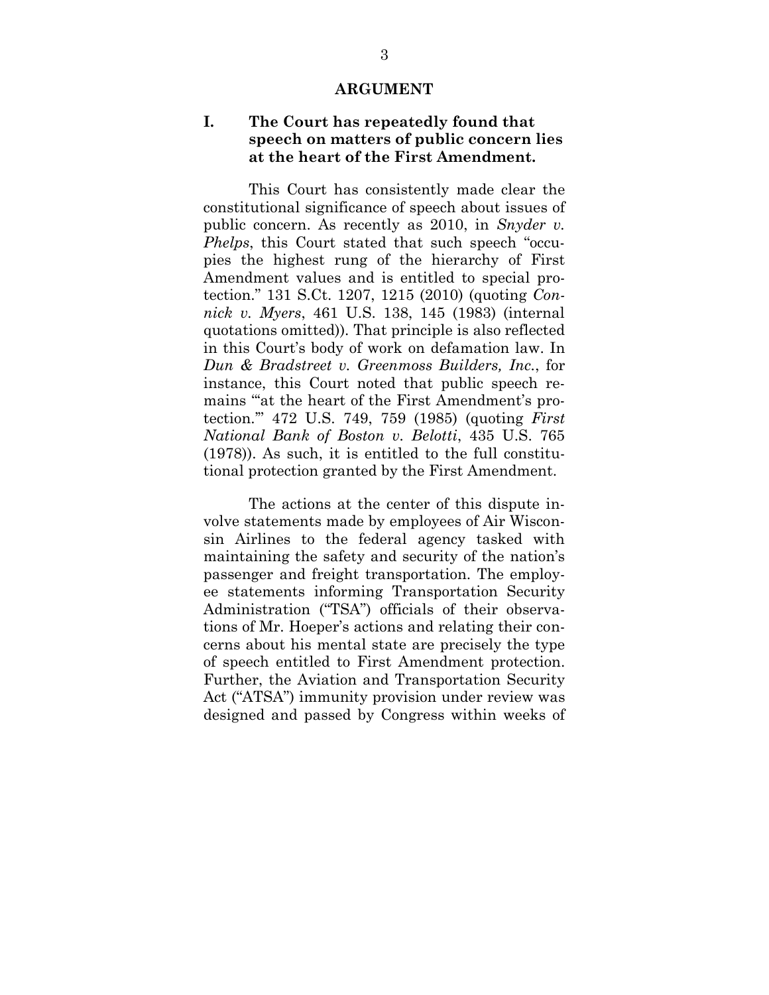#### **ARGUMENT**

## <span id="page-9-1"></span><span id="page-9-0"></span>**I. The Court has repeatedly found that speech on matters of public concern lies at the heart of the First Amendment.**

This Court has consistently made clear the constitutional significance of speech about issues of public concern. As recently as 2010, in *Snyder v. Phelps*, this Court stated that such speech "occupies the highest rung of the hierarchy of First Amendment values and is entitled to special protection." 131 S.Ct. 1207, 1215 (2010) (quoting *Connick v. Myers*, 461 U.S. 138, 145 (1983) (internal quotations omitted)). That principle is also reflected in this Court's body of work on defamation law. In *Dun & Bradstreet v. Greenmoss Builders, Inc.*, for instance, this Court noted that public speech remains "'at the heart of the First Amendment's protection.'" 472 U.S. 749, 759 (1985) (quoting *First National Bank of Boston v. Belotti*, 435 U.S. 765 (1978)). As such, it is entitled to the full constitutional protection granted by the First Amendment.

The actions at the center of this dispute involve statements made by employees of Air Wisconsin Airlines to the federal agency tasked with maintaining the safety and security of the nation's passenger and freight transportation. The employee statements informing Transportation Security Administration ("TSA") officials of their observations of Mr. Hoeper's actions and relating their concerns about his mental state are precisely the type of speech entitled to First Amendment protection. Further, the Aviation and Transportation Security Act ("ATSA") immunity provision under review was designed and passed by Congress within weeks of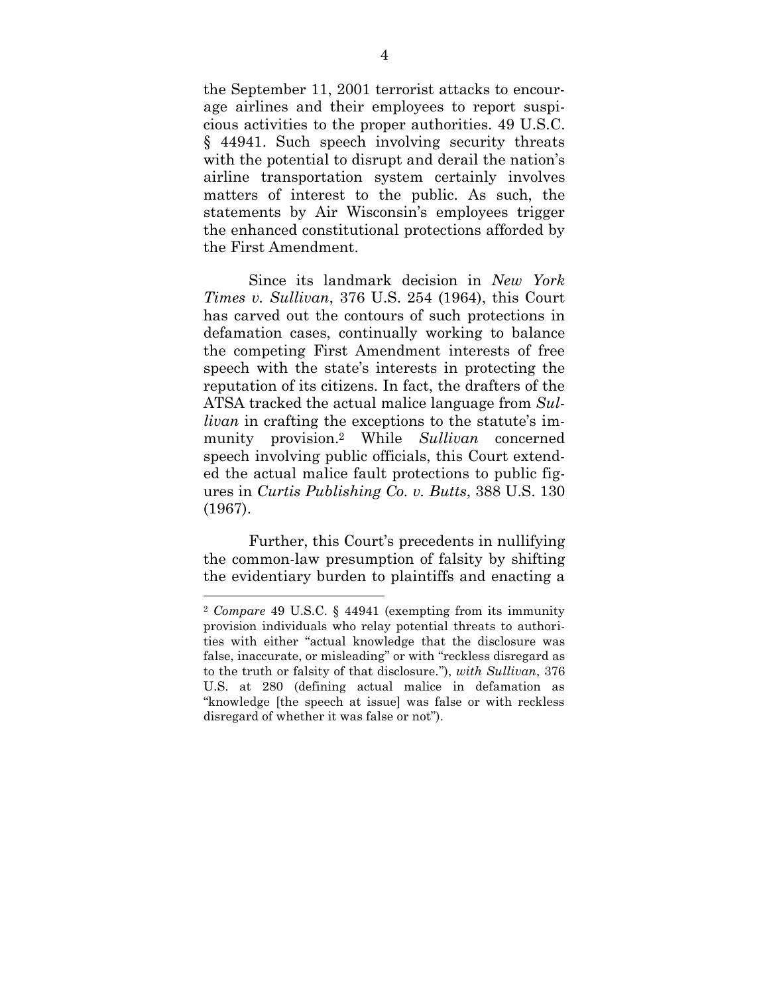the September 11, 2001 terrorist attacks to encourage airlines and their employees to report suspicious activities to the proper authorities. 49 U.S.C. § 44941. Such speech involving security threats with the potential to disrupt and derail the nation's airline transportation system certainly involves matters of interest to the public. As such, the statements by Air Wisconsin's employees trigger the enhanced constitutional protections afforded by the First Amendment.

Since its landmark decision in *New York Times v. Sullivan*, 376 U.S. 254 (1964), this Court has carved out the contours of such protections in defamation cases, continually working to balance the competing First Amendment interests of free speech with the state's interests in protecting the reputation of its citizens. In fact, the drafters of the ATSA tracked the actual malice language from *Sullivan* in crafting the exceptions to the statute's immunity provision.<sup>2</sup> While *Sullivan* concerned speech involving public officials, this Court extended the actual malice fault protections to public figures in *Curtis Publishing Co. v. Butts*, 388 U.S. 130 (1967).

Further, this Court's precedents in nullifying the common-law presumption of falsity by shifting the evidentiary burden to plaintiffs and enacting a

 $\overline{\phantom{a}}$ 

<sup>2</sup> *Compare* 49 U.S.C. § 44941 (exempting from its immunity provision individuals who relay potential threats to authorities with either "actual knowledge that the disclosure was false, inaccurate, or misleading" or with "reckless disregard as to the truth or falsity of that disclosure."), *with Sullivan*, 376 U.S. at 280 (defining actual malice in defamation as "knowledge [the speech at issue] was false or with reckless disregard of whether it was false or not").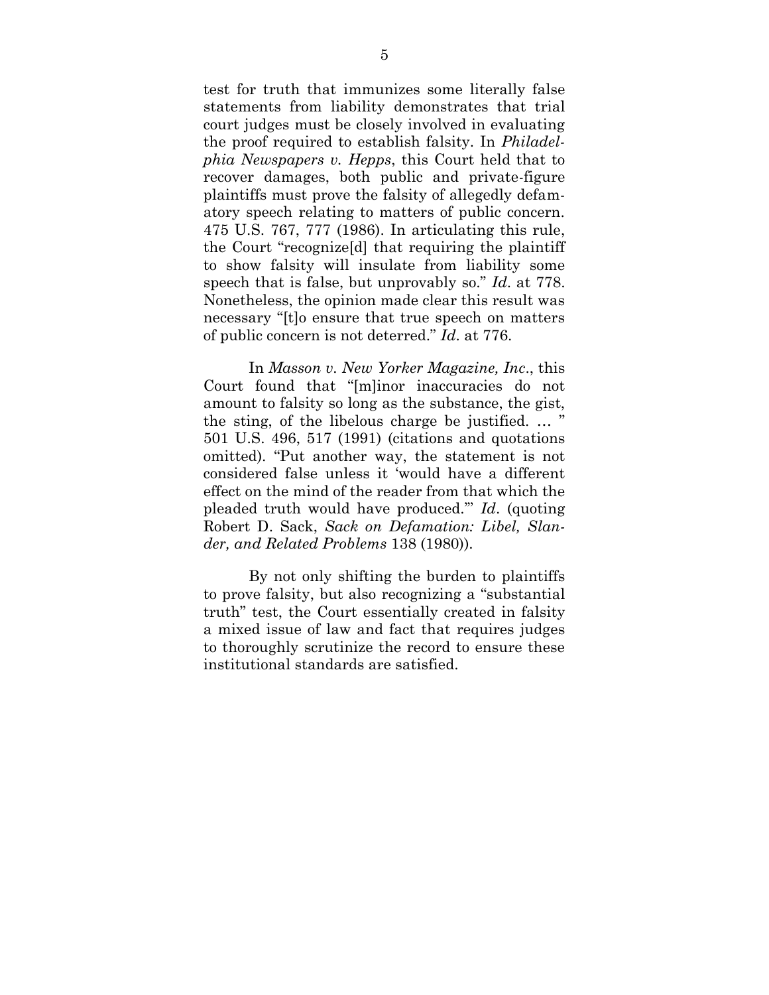test for truth that immunizes some literally false statements from liability demonstrates that trial court judges must be closely involved in evaluating the proof required to establish falsity. In *Philadelphia Newspapers v. Hepps*, this Court held that to recover damages, both public and private-figure plaintiffs must prove the falsity of allegedly defamatory speech relating to matters of public concern. 475 U.S. 767, 777 (1986). In articulating this rule, the Court "recognize[d] that requiring the plaintiff to show falsity will insulate from liability some speech that is false, but unprovably so." *Id*. at 778. Nonetheless, the opinion made clear this result was necessary "[t]o ensure that true speech on matters of public concern is not deterred." *Id*. at 776.

In *Masson v. New Yorker Magazine, Inc*., this Court found that "[m]inor inaccuracies do not amount to falsity so long as the substance, the gist, the sting, of the libelous charge be justified. … " 501 U.S. 496, 517 (1991) (citations and quotations omitted). "Put another way, the statement is not considered false unless it 'would have a different effect on the mind of the reader from that which the pleaded truth would have produced.'" *Id*. (quoting Robert D. Sack, *Sack on Defamation: Libel, Slander, and Related Problems* 138 (1980)).

By not only shifting the burden to plaintiffs to prove falsity, but also recognizing a "substantial truth" test, the Court essentially created in falsity a mixed issue of law and fact that requires judges to thoroughly scrutinize the record to ensure these institutional standards are satisfied.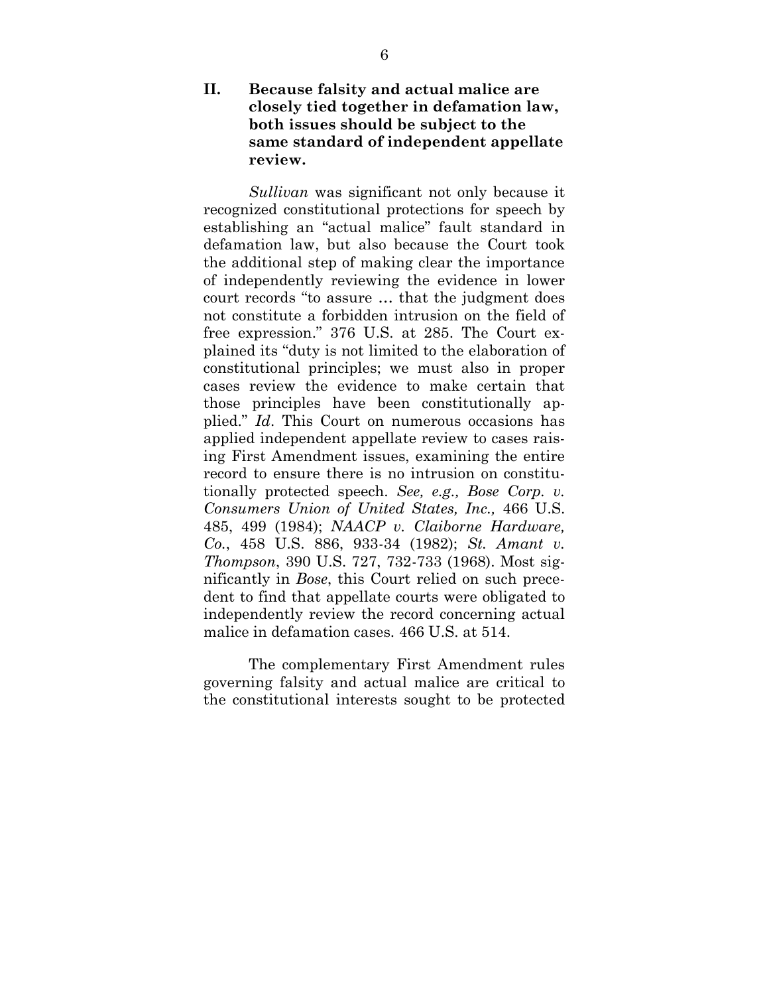## <span id="page-12-0"></span>**II. Because falsity and actual malice are closely tied together in defamation law, both issues should be subject to the same standard of independent appellate review.**

*Sullivan* was significant not only because it recognized constitutional protections for speech by establishing an "actual malice" fault standard in defamation law, but also because the Court took the additional step of making clear the importance of independently reviewing the evidence in lower court records "to assure … that the judgment does not constitute a forbidden intrusion on the field of free expression." 376 U.S. at 285. The Court explained its "duty is not limited to the elaboration of constitutional principles; we must also in proper cases review the evidence to make certain that those principles have been constitutionally applied." *Id*. This Court on numerous occasions has applied independent appellate review to cases raising First Amendment issues, examining the entire record to ensure there is no intrusion on constitutionally protected speech. *See, e.g., Bose Corp. v. Consumers Union of United States, Inc.,* 466 U.S. 485, 499 (1984); *NAACP v. Claiborne Hardware, Co.*, 458 U.S. 886, 933-34 (1982); *St. Amant v. Thompson*, 390 U.S. 727, 732-733 (1968). Most significantly in *Bose*, this Court relied on such precedent to find that appellate courts were obligated to independently review the record concerning actual malice in defamation cases. 466 U.S. at 514.

The complementary First Amendment rules governing falsity and actual malice are critical to the constitutional interests sought to be protected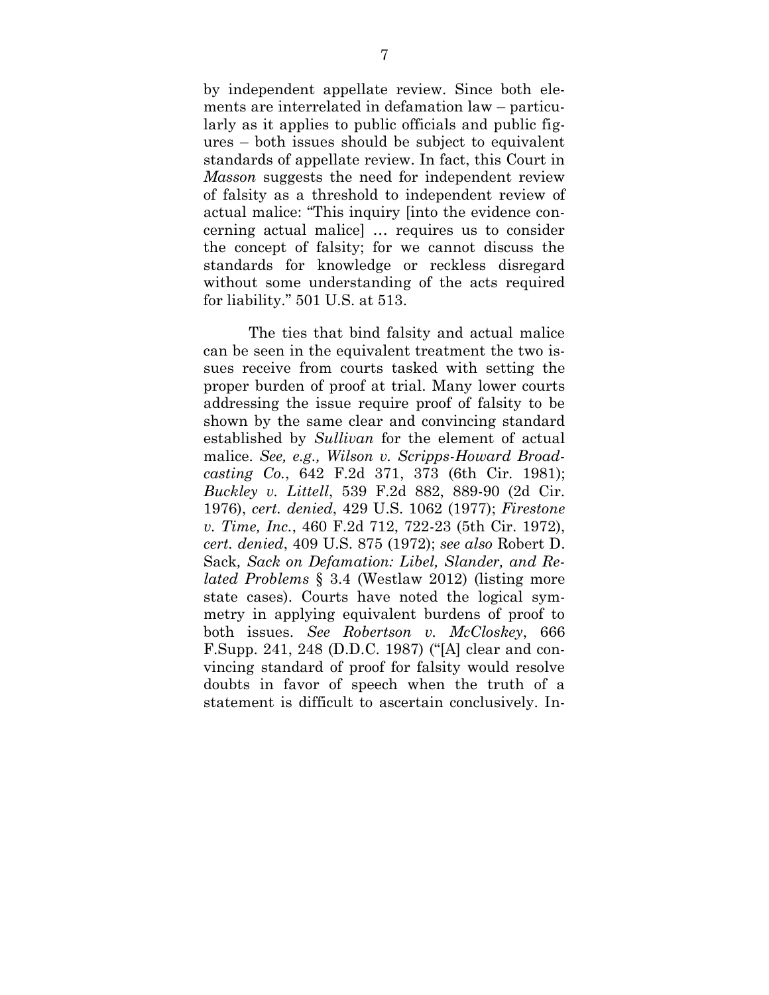by independent appellate review. Since both elements are interrelated in defamation law – particularly as it applies to public officials and public figures – both issues should be subject to equivalent standards of appellate review. In fact, this Court in *Masson* suggests the need for independent review of falsity as a threshold to independent review of actual malice: "This inquiry [into the evidence concerning actual malice] … requires us to consider the concept of falsity; for we cannot discuss the standards for knowledge or reckless disregard without some understanding of the acts required for liability." 501 U.S. at 513.

The ties that bind falsity and actual malice can be seen in the equivalent treatment the two issues receive from courts tasked with setting the proper burden of proof at trial. Many lower courts addressing the issue require proof of falsity to be shown by the same clear and convincing standard established by *Sullivan* for the element of actual malice. *See, e.g., Wilson v. Scripps-Howard Broadcasting Co.*, 642 F.2d 371, 373 (6th Cir. 1981); *Buckley v. Littell*, 539 F.2d 882, 889-90 (2d Cir. 1976), *cert. denied*, 429 U.S. 1062 (1977); *Firestone v. Time, Inc.*, 460 F.2d 712, 722-23 (5th Cir. 1972), *cert. denied*, 409 U.S. 875 (1972); *see also* Robert D. Sack*, Sack on Defamation: Libel, Slander, and Related Problems* § 3.4 (Westlaw 2012) (listing more state cases). Courts have noted the logical symmetry in applying equivalent burdens of proof to both issues. *See Robertson v. McCloskey*, 666 F.Supp. 241, 248 (D.D.C. 1987) ("[A] clear and convincing standard of proof for falsity would resolve doubts in favor of speech when the truth of a statement is difficult to ascertain conclusively. In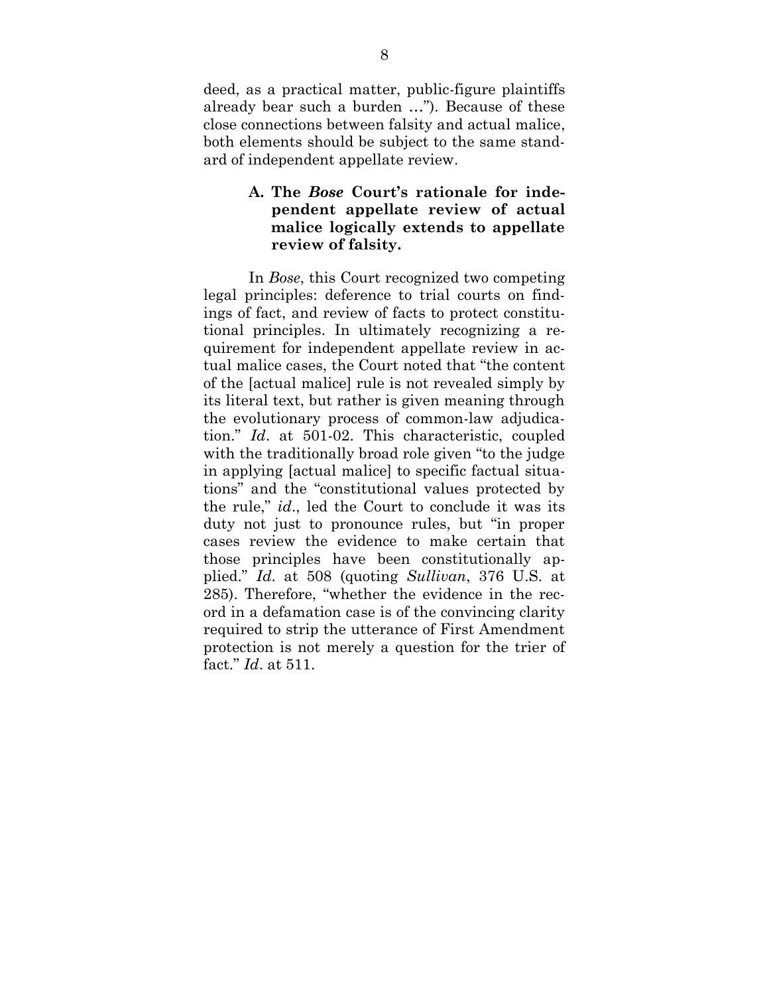deed, as a practical matter, public-figure plaintiffs already bear such a burden …"). Because of these close connections between falsity and actual malice, both elements should be subject to the same standard of independent appellate review.

# <span id="page-14-0"></span>**A. The** *Bose* **Court's rationale for independent appellate review of actual malice logically extends to appellate review of falsity.**

In *Bose*, this Court recognized two competing legal principles: deference to trial courts on findings of fact, and review of facts to protect constitutional principles. In ultimately recognizing a requirement for independent appellate review in actual malice cases, the Court noted that "the content of the [actual malice] rule is not revealed simply by its literal text, but rather is given meaning through the evolutionary process of common-law adjudication." *Id*. at 501-02. This characteristic, coupled with the traditionally broad role given "to the judge in applying [actual malice] to specific factual situations" and the "constitutional values protected by the rule," *id*., led the Court to conclude it was its duty not just to pronounce rules, but "in proper cases review the evidence to make certain that those principles have been constitutionally applied." *Id*. at 508 (quoting *Sullivan*, 376 U.S. at 285). Therefore, "whether the evidence in the record in a defamation case is of the convincing clarity required to strip the utterance of First Amendment protection is not merely a question for the trier of fact." *Id*. at 511.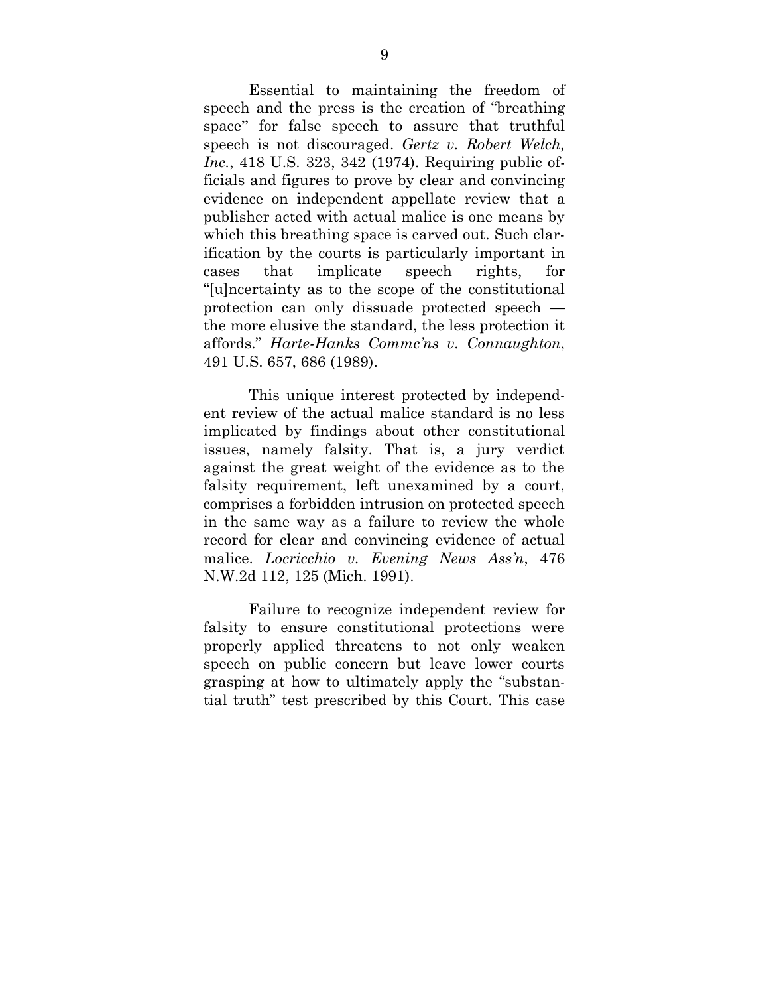Essential to maintaining the freedom of speech and the press is the creation of "breathing space" for false speech to assure that truthful speech is not discouraged. *Gertz v. Robert Welch, Inc.*, 418 U.S. 323, 342 (1974). Requiring public officials and figures to prove by clear and convincing evidence on independent appellate review that a publisher acted with actual malice is one means by which this breathing space is carved out. Such clarification by the courts is particularly important in cases that implicate speech rights, for "[u]ncertainty as to the scope of the constitutional protection can only dissuade protected speech the more elusive the standard, the less protection it affords." *Harte-Hanks Commc'ns v. Connaughton*, 491 U.S. 657, 686 (1989).

This unique interest protected by independent review of the actual malice standard is no less implicated by findings about other constitutional issues, namely falsity. That is, a jury verdict against the great weight of the evidence as to the falsity requirement, left unexamined by a court, comprises a forbidden intrusion on protected speech in the same way as a failure to review the whole record for clear and convincing evidence of actual malice. *Locricchio v. Evening News Ass'n*, 476 N.W.2d 112, 125 (Mich. 1991).

Failure to recognize independent review for falsity to ensure constitutional protections were properly applied threatens to not only weaken speech on public concern but leave lower courts grasping at how to ultimately apply the "substantial truth" test prescribed by this Court. This case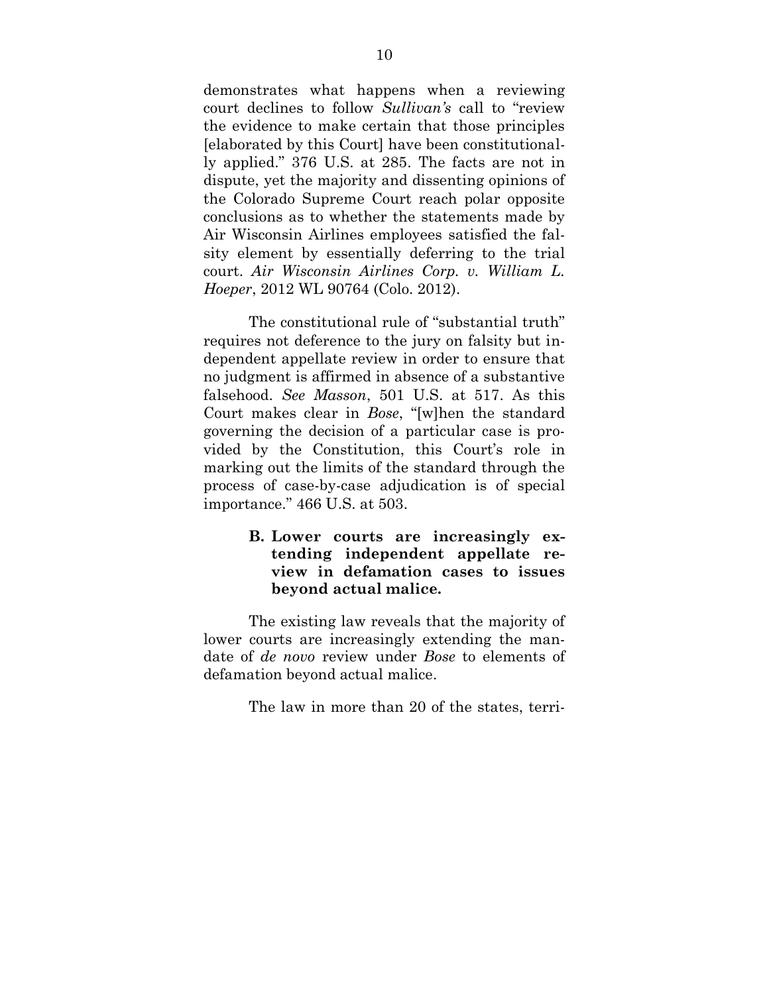demonstrates what happens when a reviewing court declines to follow *Sullivan's* call to "review the evidence to make certain that those principles [elaborated by this Court] have been constitutionally applied." 376 U.S. at 285. The facts are not in dispute, yet the majority and dissenting opinions of the Colorado Supreme Court reach polar opposite conclusions as to whether the statements made by Air Wisconsin Airlines employees satisfied the falsity element by essentially deferring to the trial court. *Air Wisconsin Airlines Corp. v. William L. Hoeper*, 2012 WL 90764 (Colo. 2012).

The constitutional rule of "substantial truth" requires not deference to the jury on falsity but independent appellate review in order to ensure that no judgment is affirmed in absence of a substantive falsehood. *See Masson*, 501 U.S. at 517. As this Court makes clear in *Bose*, "[w]hen the standard governing the decision of a particular case is provided by the Constitution, this Court's role in marking out the limits of the standard through the process of case-by-case adjudication is of special importance." 466 U.S. at 503.

## **B. Lower courts are increasingly extending independent appellate review in defamation cases to issues beyond actual malice.**

The existing law reveals that the majority of lower courts are increasingly extending the mandate of *de novo* review under *Bose* to elements of defamation beyond actual malice.

The law in more than 20 of the states, terri-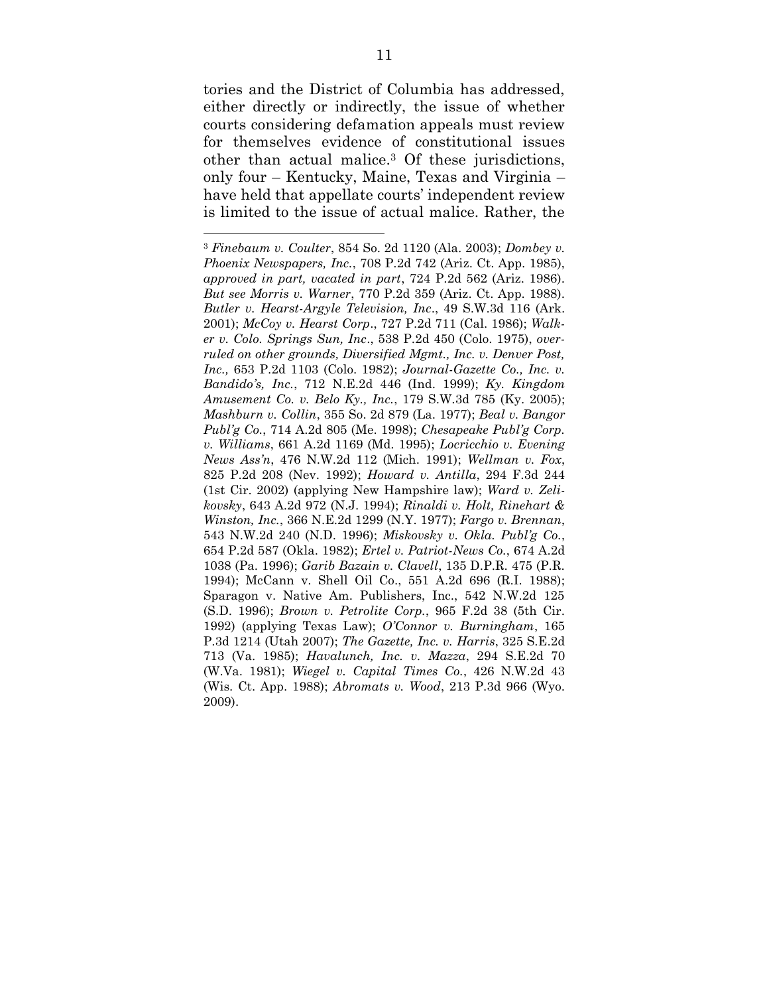tories and the District of Columbia has addressed, either directly or indirectly, the issue of whether courts considering defamation appeals must review for themselves evidence of constitutional issues other than actual malice.<sup>3</sup> Of these jurisdictions, only four – Kentucky, Maine, Texas and Virginia – have held that appellate courts' independent review is limited to the issue of actual malice. Rather, the

 $\overline{\phantom{a}}$ 

<sup>3</sup> *Finebaum v. Coulter*, 854 So. 2d 1120 (Ala. 2003); *Dombey v. Phoenix Newspapers, Inc.*, 708 P.2d 742 (Ariz. Ct. App. 1985), *approved in part, vacated in part*, 724 P.2d 562 (Ariz. 1986). *But see Morris v. Warner*, 770 P.2d 359 (Ariz. Ct. App. 1988). *Butler v. Hearst-Argyle Television, Inc*., 49 S.W.3d 116 (Ark. 2001); *McCoy v. Hearst Corp*., 727 P.2d 711 (Cal. 1986); *Walker v. Colo. Springs Sun, Inc*., 538 P.2d 450 (Colo. 1975), *overruled on other grounds, Diversified Mgmt., Inc. v. Denver Post, Inc.,* 653 P.2d 1103 (Colo. 1982); *Journal-Gazette Co., Inc. v. Bandido's, Inc.*, 712 N.E.2d 446 (Ind. 1999); *Ky. Kingdom Amusement Co. v. Belo Ky., Inc.*, 179 S.W.3d 785 (Ky. 2005); *Mashburn v. Collin*, 355 So. 2d 879 (La. 1977); *Beal v. Bangor Publ'g Co.*, 714 A.2d 805 (Me. 1998); *Chesapeake Publ'g Corp. v. Williams*, 661 A.2d 1169 (Md. 1995); *Locricchio v. Evening News Ass'n*, 476 N.W.2d 112 (Mich. 1991); *Wellman v. Fox*, 825 P.2d 208 (Nev. 1992); *Howard v. Antilla*, 294 F.3d 244 (1st Cir. 2002) (applying New Hampshire law); *Ward v. Zelikovsky*, 643 A.2d 972 (N.J. 1994); *Rinaldi v. Holt, Rinehart & Winston, Inc.*, 366 N.E.2d 1299 (N.Y. 1977); *Fargo v. Brennan*, 543 N.W.2d 240 (N.D. 1996); *Miskovsky v. Okla. Publ'g Co.*, 654 P.2d 587 (Okla. 1982); *Ertel v. Patriot-News Co.*, 674 A.2d 1038 (Pa. 1996); *Garib Bazain v. Clavell*, 135 D.P.R. 475 (P.R. 1994); McCann v. Shell Oil Co., 551 A.2d 696 (R.I. 1988); Sparagon v. Native Am. Publishers, Inc., 542 N.W.2d 125 (S.D. 1996); *Brown v. Petrolite Corp.*, 965 F.2d 38 (5th Cir. 1992) (applying Texas Law); *O'Connor v. Burningham*, 165 P.3d 1214 (Utah 2007); *The Gazette, Inc. v. Harris*, 325 S.E.2d 713 (Va. 1985); *Havalunch, Inc. v. Mazza*, 294 S.E.2d 70 (W.Va. 1981); *Wiegel v. Capital Times Co.*, 426 N.W.2d 43 (Wis. Ct. App. 1988); *Abromats v. Wood*, 213 P.3d 966 (Wyo. 2009).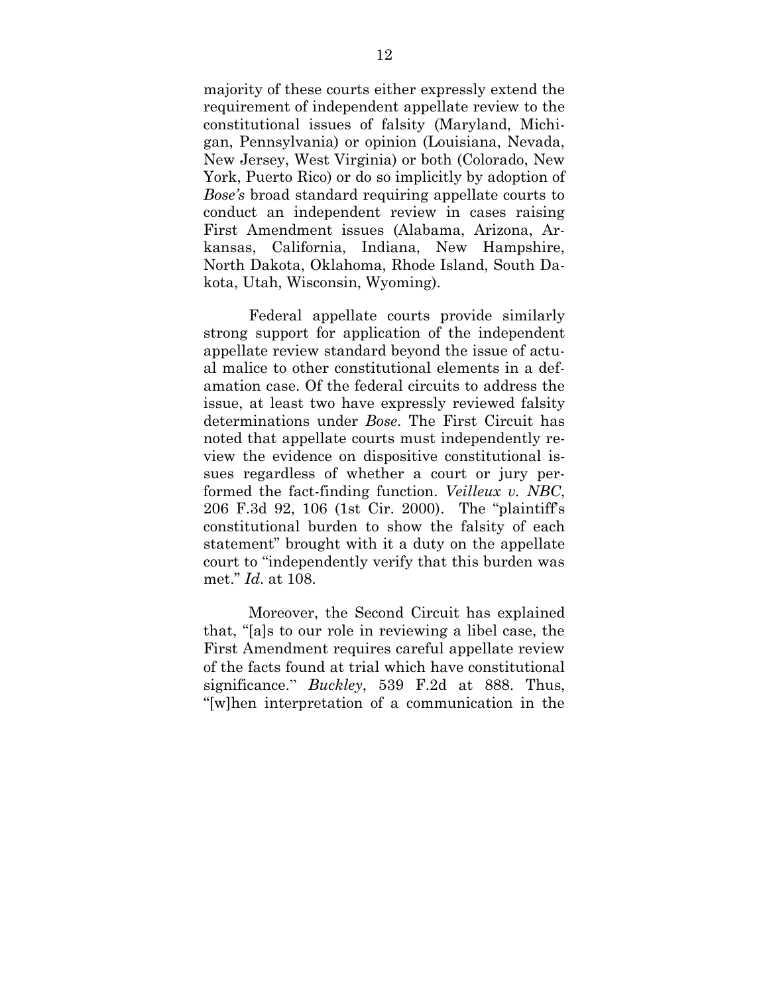majority of these courts either expressly extend the requirement of independent appellate review to the constitutional issues of falsity (Maryland, Michigan, Pennsylvania) or opinion (Louisiana, Nevada, New Jersey, West Virginia) or both (Colorado, New York, Puerto Rico) or do so implicitly by adoption of *Bose's* broad standard requiring appellate courts to conduct an independent review in cases raising First Amendment issues (Alabama, Arizona, Arkansas, California, Indiana, New Hampshire, North Dakota, Oklahoma, Rhode Island, South Dakota, Utah, Wisconsin, Wyoming).

Federal appellate courts provide similarly strong support for application of the independent appellate review standard beyond the issue of actual malice to other constitutional elements in a defamation case. Of the federal circuits to address the issue, at least two have expressly reviewed falsity determinations under *Bose*. The First Circuit has noted that appellate courts must independently review the evidence on dispositive constitutional issues regardless of whether a court or jury performed the fact-finding function. *Veilleux v. NBC*, 206 F.3d 92, 106 (1st Cir. 2000). The "plaintiff's constitutional burden to show the falsity of each statement" brought with it a duty on the appellate court to "independently verify that this burden was met." *Id*. at 108.

Moreover, the Second Circuit has explained that, "[a]s to our role in reviewing a libel case, the First Amendment requires careful appellate review of the facts found at trial which have constitutional significance." *Buckley*, 539 F.2d at 888. Thus, "[w]hen interpretation of a communication in the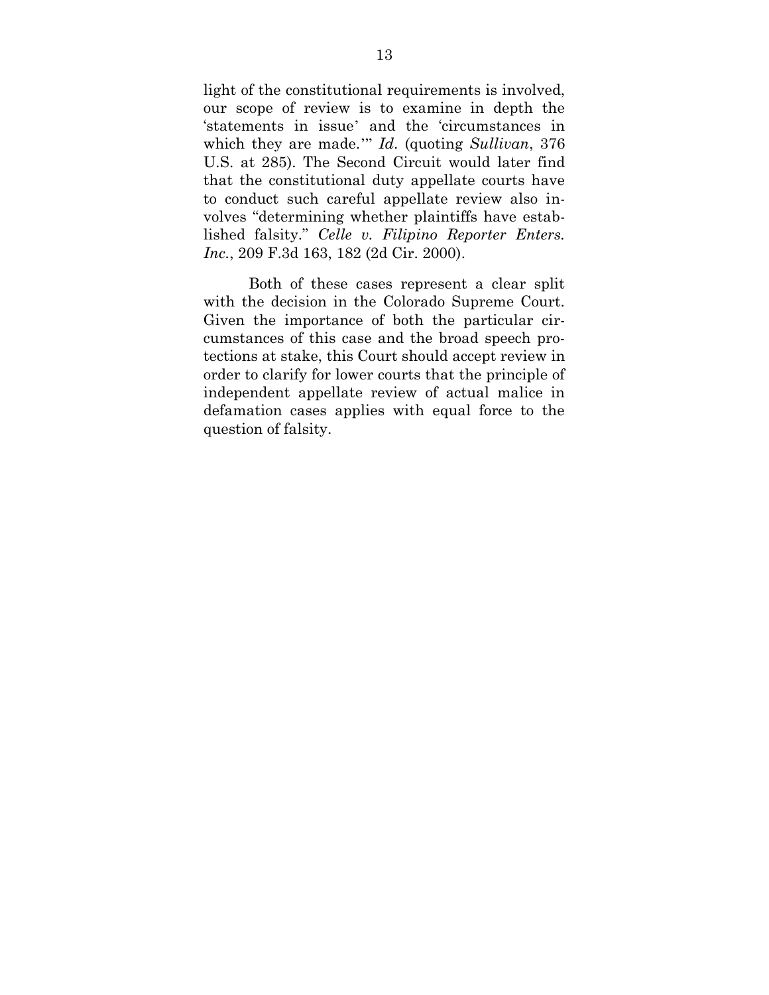light of the constitutional requirements is involved, our scope of review is to examine in depth the 'statements in issue' and the 'circumstances in which they are made.'" *Id*. (quoting *Sullivan*, 376 U.S. at 285). The Second Circuit would later find that the constitutional duty appellate courts have to conduct such careful appellate review also involves "determining whether plaintiffs have established falsity." *Celle v. Filipino Reporter Enters. Inc.*, 209 F.3d 163, 182 (2d Cir. 2000).

Both of these cases represent a clear split with the decision in the Colorado Supreme Court. Given the importance of both the particular circumstances of this case and the broad speech protections at stake, this Court should accept review in order to clarify for lower courts that the principle of independent appellate review of actual malice in defamation cases applies with equal force to the question of falsity.